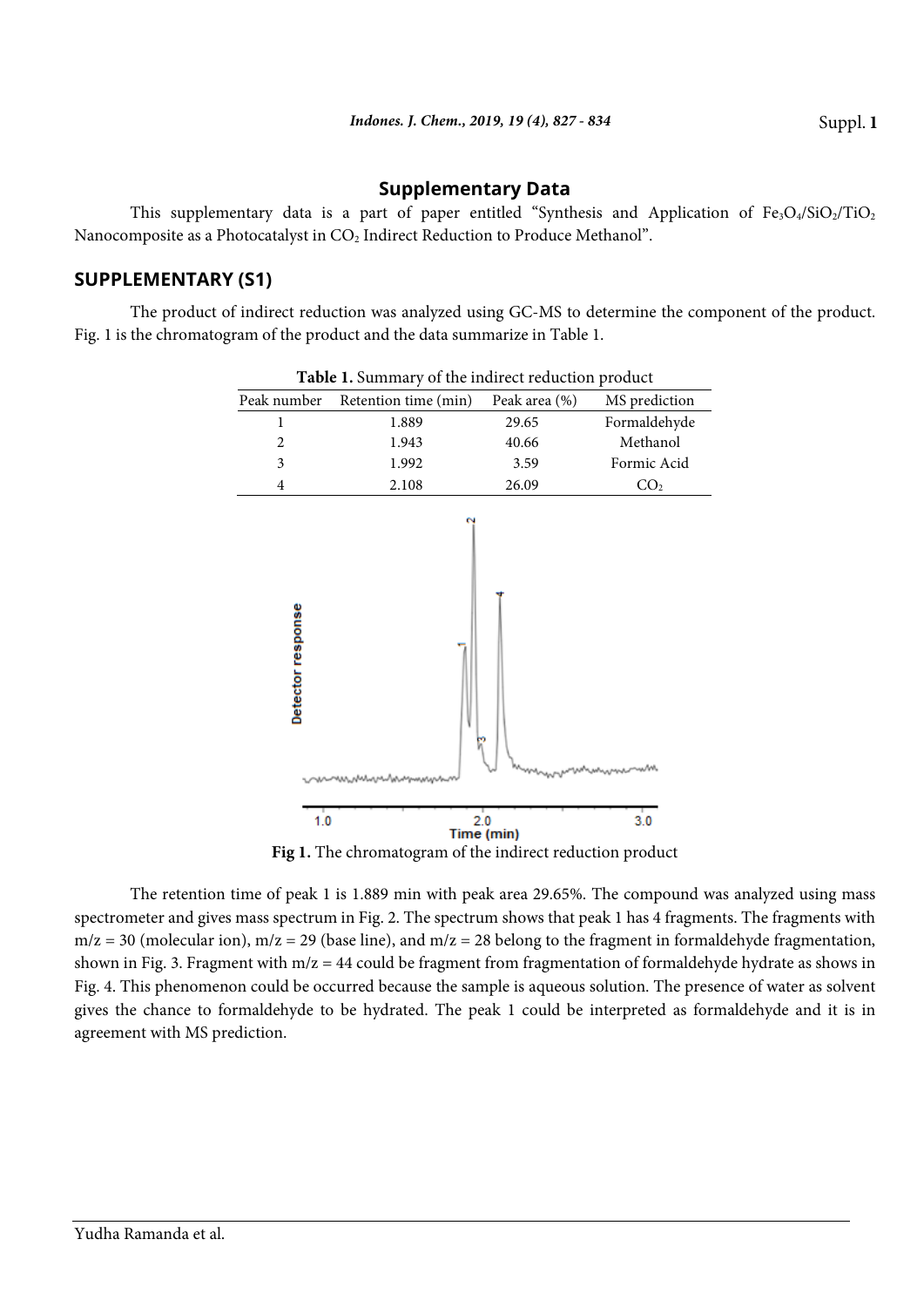## **Supplementary Data**

This supplementary data is a part of paper entitled "Synthesis and Application of  $Fe<sub>3</sub>O<sub>4</sub>/SiO<sub>2</sub>/TiO<sub>2</sub>$ Nanocomposite as a Photocatalyst in CO<sub>2</sub> Indirect Reduction to Produce Methanol".

## **SUPPLEMENTARY (S1)**

The product of indirect reduction was analyzed using GC-MS to determine the component of the product. Fig. 1 is the chromatogram of the product and the data summarize in Table 1.



**Table 1.** Summary of the indirect reduction product

Fig 1. The chromatogram of the indirect reduction product

The retention time of peak 1 is 1.889 min with peak area 29.65%. The compound was analyzed using mass spectrometer and gives mass spectrum in Fig. 2. The spectrum shows that peak 1 has 4 fragments. The fragments with  $m/z = 30$  (molecular ion),  $m/z = 29$  (base line), and  $m/z = 28$  belong to the fragment in formaldehyde fragmentation, shown in Fig. 3. Fragment with m/z = 44 could be fragment from fragmentation of formaldehyde hydrate as shows in Fig. 4. This phenomenon could be occurred because the sample is aqueous solution. The presence of water as solvent gives the chance to formaldehyde to be hydrated. The peak 1 could be interpreted as formaldehyde and it is in agreement with MS prediction.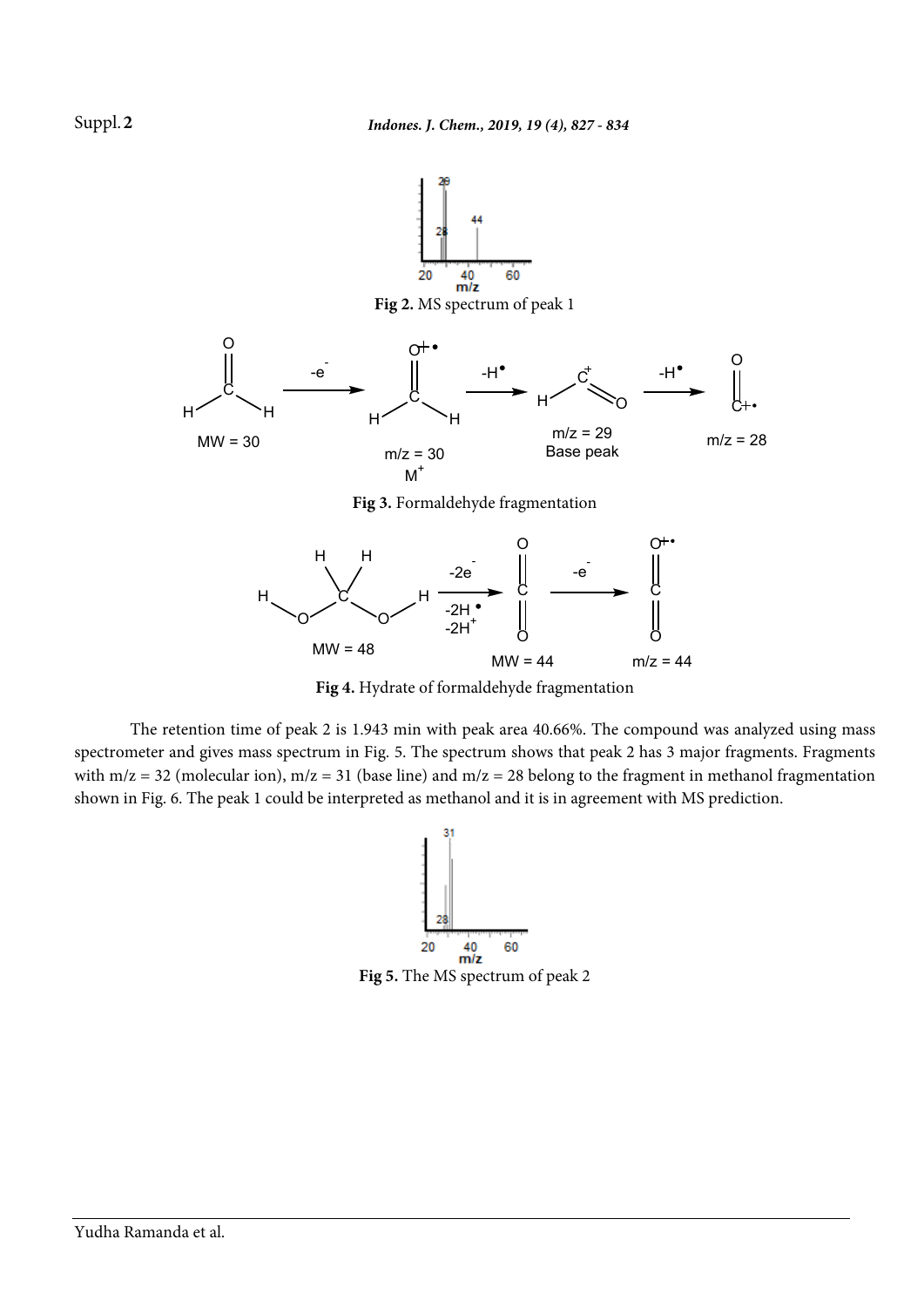

**Fig 4.** Hydrate of formaldehyde fragmentation

The retention time of peak 2 is 1.943 min with peak area 40.66%. The compound was analyzed using mass spectrometer and gives mass spectrum in Fig. 5. The spectrum shows that peak 2 has 3 major fragments. Fragments with  $m/z = 32$  (molecular ion),  $m/z = 31$  (base line) and  $m/z = 28$  belong to the fragment in methanol fragmentation shown in Fig. 6. The peak 1 could be interpreted as methanol and it is in agreement with MS prediction.



Suppl. **2**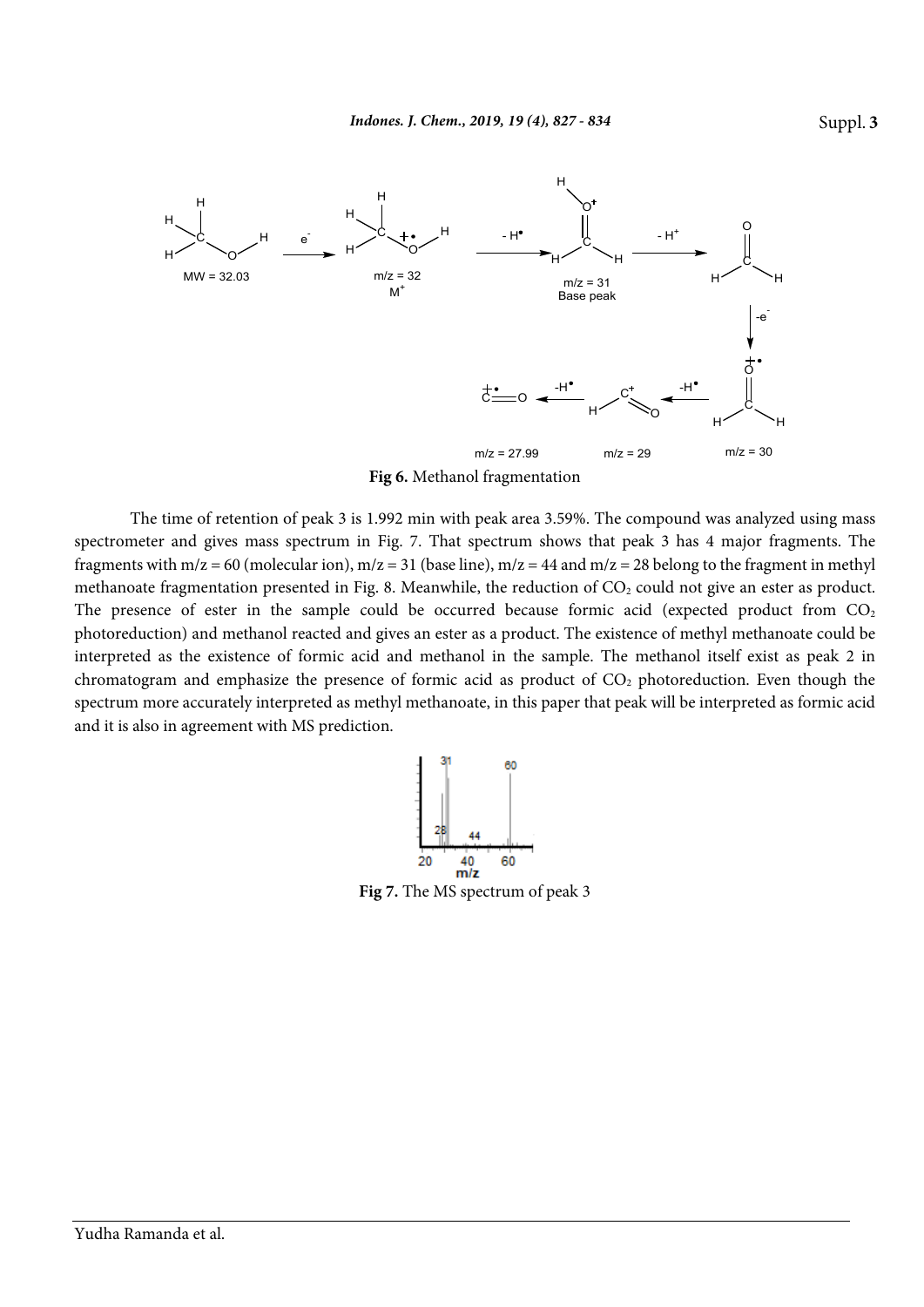

**Fig 6.** Methanol fragmentation

The time of retention of peak 3 is 1.992 min with peak area 3.59%. The compound was analyzed using mass spectrometer and gives mass spectrum in Fig. 7. That spectrum shows that peak 3 has 4 major fragments. The fragments with  $m/z = 60$  (molecular ion),  $m/z = 31$  (base line),  $m/z = 44$  and  $m/z = 28$  belong to the fragment in methyl methanoate fragmentation presented in Fig. 8. Meanwhile, the reduction of  $CO<sub>2</sub>$  could not give an ester as product. The presence of ester in the sample could be occurred because formic acid (expected product from  $CO<sub>2</sub>$ photoreduction) and methanol reacted and gives an ester as a product. The existence of methyl methanoate could be interpreted as the existence of formic acid and methanol in the sample. The methanol itself exist as peak 2 in chromatogram and emphasize the presence of formic acid as product of  $CO<sub>2</sub>$  photoreduction. Even though the spectrum more accurately interpreted as methyl methanoate, in this paper that peak will be interpreted as formic acid and it is also in agreement with MS prediction.



**Fig 7.** The MS spectrum of peak 3